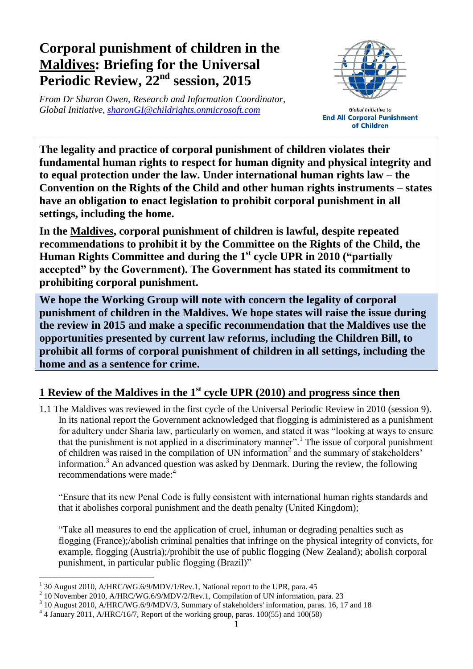# **Corporal punishment of children in the Maldives: Briefing for the Universal Periodic Review, 22nd session, 2015**

*From Dr Sharon Owen, Research and Information Coordinator, Global Initiative, [sharonGI@childrights.onmicrosoft.com](mailto:sharonGI@childrights.onmicrosoft.com)*



**Global Initiative to End All Corporal Punishment** of Children

**The legality and practice of corporal punishment of children violates their fundamental human rights to respect for human dignity and physical integrity and to equal protection under the law. Under international human rights law – the Convention on the Rights of the Child and other human rights instruments – states have an obligation to enact legislation to prohibit corporal punishment in all settings, including the home.**

**In the Maldives, corporal punishment of children is lawful, despite repeated recommendations to prohibit it by the Committee on the Rights of the Child, the Human Rights Committee and during the 1st cycle UPR in 2010 ("partially accepted" by the Government). The Government has stated its commitment to prohibiting corporal punishment.**

**We hope the Working Group will note with concern the legality of corporal punishment of children in the Maldives. We hope states will raise the issue during the review in 2015 and make a specific recommendation that the Maldives use the opportunities presented by current law reforms, including the Children Bill, to prohibit all forms of corporal punishment of children in all settings, including the home and as a sentence for crime.**

# **1 Review of the Maldives in the 1st cycle UPR (2010) and progress since then**

1.1 The Maldives was reviewed in the first cycle of the Universal Periodic Review in 2010 (session 9). In its national report the Government acknowledged that flogging is administered as a punishment for adultery under Sharia law, particularly on women, and stated it was "looking at ways to ensure that the punishment is not applied in a discriminatory manner".<sup>1</sup> The issue of corporal punishment of children was raised in the compilation of UN information<sup>2</sup> and the summary of stakeholders' information.<sup>3</sup> An advanced question was asked by Denmark. During the review, the following recommendations were made: 4

"Ensure that its new Penal Code is fully consistent with international human rights standards and that it abolishes corporal punishment and the death penalty (United Kingdom);

"Take all measures to end the application of cruel, inhuman or degrading penalties such as flogging (France);/abolish criminal penalties that infringe on the physical integrity of convicts, for example, flogging (Austria);/prohibit the use of public flogging (New Zealand); abolish corporal punishment, in particular public flogging (Brazil)"

 $\overline{a}$ 

<sup>1</sup> 30 August 2010, A/HRC/WG.6/9/MDV/1/Rev.1, National report to the UPR, para. 45 2

<sup>10</sup> November 2010, A/HRC/WG.6/9/MDV/2/Rev.1, Compilation of UN information, para. 23

<sup>&</sup>lt;sup>3</sup> 10 August 2010, A/HRC/WG.6/9/MDV/3, Summary of stakeholders' information, paras. 16, 17 and 18

 $4$  4 January 2011, A/HRC/16/7, Report of the working group, paras. 100(55) and 100(58)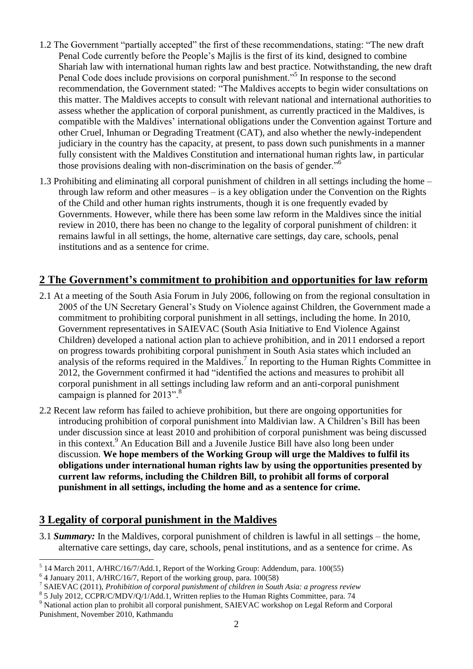- 1.2 The Government "partially accepted" the first of these recommendations, stating: "The new draft Penal Code currently before the People's Majlis is the first of its kind, designed to combine Shariah law with international human rights law and best practice. Notwithstanding, the new draft Penal Code does include provisions on corporal punishment."<sup>5</sup> In response to the second recommendation, the Government stated: "The Maldives accepts to begin wider consultations on this matter. The Maldives accepts to consult with relevant national and international authorities to assess whether the application of corporal punishment, as currently practiced in the Maldives, is compatible with the Maldives' international obligations under the Convention against Torture and other Cruel, Inhuman or Degrading Treatment (CAT), and also whether the newly-independent judiciary in the country has the capacity, at present, to pass down such punishments in a manner fully consistent with the Maldives Constitution and international human rights law, in particular those provisions dealing with non-discrimination on the basis of gender."<sup>6</sup>
- 1.3 Prohibiting and eliminating all corporal punishment of children in all settings including the home through law reform and other measures – is a key obligation under the Convention on the Rights of the Child and other human rights instruments, though it is one frequently evaded by Governments. However, while there has been some law reform in the Maldives since the initial review in 2010, there has been no change to the legality of corporal punishment of children: it remains lawful in all settings, the home, alternative care settings, day care, schools, penal institutions and as a sentence for crime.

## **2 The Government's commitment to prohibition and opportunities for law reform**

- 2.1 At a meeting of the South Asia Forum in July 2006, following on from the regional consultation in 2005 of the UN Secretary General's Study on Violence against Children, the Government made a commitment to prohibiting corporal punishment in all settings, including the home. In 2010, Government representatives in SAIEVAC (South Asia Initiative to End Violence Against Children) developed a national action plan to achieve prohibition, and in 2011 endorsed a report on progress towards prohibiting corporal punishment in South Asia states which included an analysis of the reforms required in the Maldives.<sup>7</sup> In reporting to the Human Rights Committee in 2012, the Government confirmed it had "identified the actions and measures to prohibit all corporal punishment in all settings including law reform and an anti-corporal punishment campaign is planned for  $2013"$ .<sup>8</sup>
- 2.2 Recent law reform has failed to achieve prohibition, but there are ongoing opportunities for introducing prohibition of corporal punishment into Maldivian law. A Children's Bill has been under discussion since at least 2010 and prohibition of corporal punishment was being discussed in this context.<sup>9</sup> An Education Bill and a Juvenile Justice Bill have also long been under discussion. **We hope members of the Working Group will urge the Maldives to fulfil its obligations under international human rights law by using the opportunities presented by current law reforms, including the Children Bill, to prohibit all forms of corporal punishment in all settings, including the home and as a sentence for crime.**

#### **3 Legality of corporal punishment in the Maldives**

3.1 *Summary:* In the Maldives, corporal punishment of children is lawful in all settings – the home, alternative care settings, day care, schools, penal institutions, and as a sentence for crime. As

 $\overline{a}$ 

 $<sup>5</sup>$  14 March 2011, A/HRC/16/7/Add.1, Report of the Working Group: Addendum, para. 100(55)</sup>

<sup>6</sup> 4 January 2011, A/HRC/16/7, Report of the working group, para. 100(58)

<sup>7</sup> SAIEVAC (2011), *Prohibition of corporal punishment of children in South Asia: a progress review*

<sup>&</sup>lt;sup>8</sup> 5 July 2012, CCPR/C/MDV/Q/1/Add.1, Written replies to the Human Rights Committee, para. 74

<sup>&</sup>lt;sup>9</sup> National action plan to prohibit all corporal punishment, SAIEVAC workshop on Legal Reform and Corporal Punishment, November 2010, Kathmandu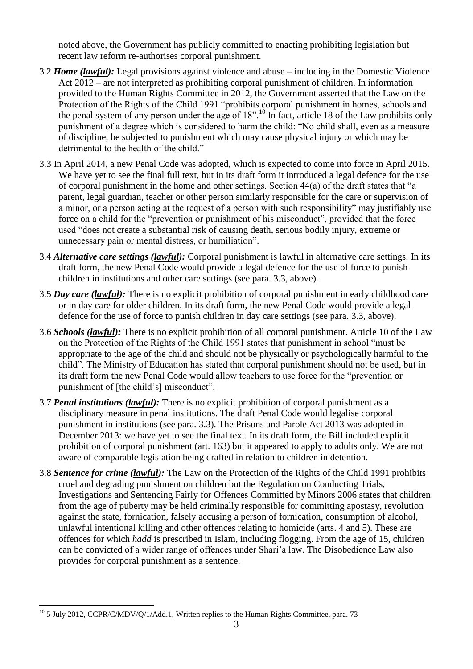noted above, the Government has publicly committed to enacting prohibiting legislation but recent law reform re-authorises corporal punishment.

- 3.2 *Home (lawful):* Legal provisions against violence and abuse including in the Domestic Violence Act 2012 – are not interpreted as prohibiting corporal punishment of children. In information provided to the Human Rights Committee in 2012, the Government asserted that the Law on the Protection of the Rights of the Child 1991 "prohibits corporal punishment in homes, schools and the penal system of any person under the age of 18".<sup>10</sup> In fact, article 18 of the Law prohibits only punishment of a degree which is considered to harm the child: "No child shall, even as a measure of discipline, be subjected to punishment which may cause physical injury or which may be detrimental to the health of the child."
- 3.3 In April 2014, a new Penal Code was adopted, which is expected to come into force in April 2015. We have yet to see the final full text, but in its draft form it introduced a legal defence for the use of corporal punishment in the home and other settings. Section 44(a) of the draft states that "a parent, legal guardian, teacher or other person similarly responsible for the care or supervision of a minor, or a person acting at the request of a person with such responsibility" may justifiably use force on a child for the "prevention or punishment of his misconduct", provided that the force used "does not create a substantial risk of causing death, serious bodily injury, extreme or unnecessary pain or mental distress, or humiliation".
- 3.4 *Alternative care settings (lawful):* Corporal punishment is lawful in alternative care settings. In its draft form, the new Penal Code would provide a legal defence for the use of force to punish children in institutions and other care settings (see para. 3.3, above).
- 3.5 *Day care (lawful):* There is no explicit prohibition of corporal punishment in early childhood care or in day care for older children. In its draft form, the new Penal Code would provide a legal defence for the use of force to punish children in day care settings (see para. 3.3, above).
- 3.6 *Schools (lawful):* There is no explicit prohibition of all corporal punishment. Article 10 of the Law on the Protection of the Rights of the Child 1991 states that punishment in school "must be appropriate to the age of the child and should not be physically or psychologically harmful to the child". The Ministry of Education has stated that corporal punishment should not be used, but in its draft form the new Penal Code would allow teachers to use force for the "prevention or punishment of [the child's] misconduct".
- 3.7 *Penal institutions (lawful):* There is no explicit prohibition of corporal punishment as a disciplinary measure in penal institutions. The draft Penal Code would legalise corporal punishment in institutions (see para. 3.3). The Prisons and Parole Act 2013 was adopted in December 2013: we have yet to see the final text. In its draft form, the Bill included explicit prohibition of corporal punishment (art. 163) but it appeared to apply to adults only. We are not aware of comparable legislation being drafted in relation to children in detention.
- 3.8 *Sentence for crime (lawful):* The Law on the Protection of the Rights of the Child 1991 prohibits cruel and degrading punishment on children but the Regulation on Conducting Trials, Investigations and Sentencing Fairly for Offences Committed by Minors 2006 states that children from the age of puberty may be held criminally responsible for committing apostasy, revolution against the state, fornication, falsely accusing a person of fornication, consumption of alcohol, unlawful intentional killing and other offences relating to homicide (arts. 4 and 5). These are offences for which *hadd* is prescribed in Islam, including flogging. From the age of 15, children can be convicted of a wider range of offences under Shari'a law. The Disobedience Law also provides for corporal punishment as a sentence.

 $\overline{a}$  $10^{\circ}$  5 July 2012, CCPR/C/MDV/Q/1/Add.1, Written replies to the Human Rights Committee, para. 73